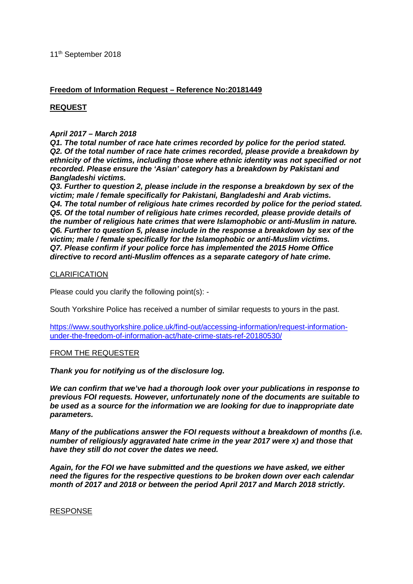# **Freedom of Information Request – Reference No:20181449**

# **REQUEST**

## *April 2017 – March 2018*

*Q1. The total number of race hate crimes recorded by police for the period stated. Q2. Of the total number of race hate crimes recorded, please provide a breakdown by ethnicity of the victims, including those where ethnic identity was not specified or not recorded. Please ensure the 'Asian' category has a breakdown by Pakistani and Bangladeshi victims.* 

*Q3. Further to question 2, please include in the response a breakdown by sex of the victim; male / female specifically for Pakistani, Bangladeshi and Arab victims. Q4. The total number of religious hate crimes recorded by police for the period stated. Q5. Of the total number of religious hate crimes recorded, please provide details of the number of religious hate crimes that were Islamophobic or anti-Muslim in nature. Q6. Further to question 5, please include in the response a breakdown by sex of the victim; male / female specifically for the Islamophobic or anti-Muslim victims. Q7. Please confirm if your police force has implemented the 2015 Home Office directive to record anti-Muslim offences as a separate category of hate crime.*

## **CLARIFICATION**

Please could you clarify the following point(s): -

South Yorkshire Police has received a number of similar requests to yours in the past.

[https://www.southyorkshire.police.uk/find-out/accessing-information/request-information](https://www.southyorkshire.police.uk/find-out/accessing-information/request-information-under-the-freedom-of-information-act/hate-crime-stats-ref-20180530/)[under-the-freedom-of-information-act/hate-crime-stats-ref-20180530/](https://www.southyorkshire.police.uk/find-out/accessing-information/request-information-under-the-freedom-of-information-act/hate-crime-stats-ref-20180530/)

### FROM THE REQUESTER

*Thank you for notifying us of the disclosure log.* 

*We can confirm that we've had a thorough look over your publications in response to previous FOI requests. However, unfortunately none of the documents are suitable to be used as a source for the information we are looking for due to inappropriate date parameters.* 

*Many of the publications answer the FOI requests without a breakdown of months (i.e. number of religiously aggravated hate crime in the year 2017 were x) and those that have they still do not cover the dates we need.* 

*Again, for the FOI we have submitted and the questions we have asked, we either need the figures for the respective questions to be broken down over each calendar month of 2017 and 2018 or between the period April 2017 and March 2018 strictly.*

#### RESPONSE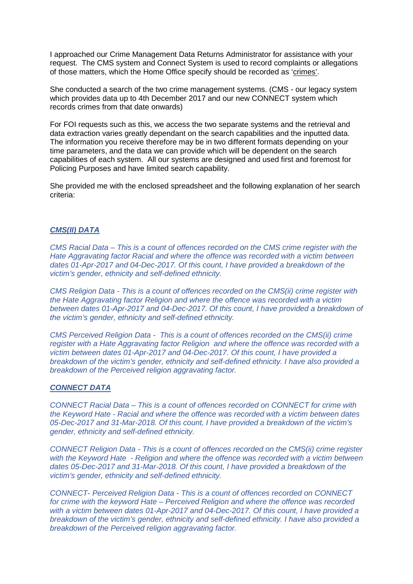I approached our Crime Management Data Returns Administrator for assistance with your request. The CMS system and Connect System is used to record complaints or allegations of those matters, which the Home Office specify should be recorded as 'crimes'.

She conducted a search of the two crime management systems. (CMS - our legacy system which provides data up to 4th December 2017 and our new CONNECT system which records crimes from that date onwards)

For FOI requests such as this, we access the two separate systems and the retrieval and data extraction varies greatly dependant on the search capabilities and the inputted data. The information you receive therefore may be in two different formats depending on your time parameters, and the data we can provide which will be dependent on the search capabilities of each system. All our systems are designed and used first and foremost for Policing Purposes and have limited search capability.

She provided me with the enclosed spreadsheet and the following explanation of her search criteria:

#### *CMS(II) DATA*

*CMS Racial Data – This is a count of offences recorded on the CMS crime register with the Hate Aggravating factor Racial and where the offence was recorded with a victim between dates 01-Apr-2017 and 04-Dec-2017. Of this count, I have provided a breakdown of the victim's gender, ethnicity and self-defined ethnicity.* 

*CMS Religion Data - This is a count of offences recorded on the CMS(ii) crime register with the Hate Aggravating factor Religion and where the offence was recorded with a victim between dates 01-Apr-2017 and 04-Dec-2017. Of this count, I have provided a breakdown of the victim's gender, ethnicity and self-defined ethnicity.*

*CMS Perceived Religion Data - This is a count of offences recorded on the CMS(ii) crime register with a Hate Aggravating factor Religion and where the offence was recorded with a victim between dates 01-Apr-2017 and 04-Dec-2017. Of this count, I have provided a breakdown of the victim's gender, ethnicity and self-defined ethnicity. I have also provided a breakdown of the Perceived religion aggravating factor.*

#### *CONNECT DATA*

*CONNECT Racial Data – This is a count of offences recorded on CONNECT for crime with the Keyword Hate - Racial and where the offence was recorded with a victim between dates 05-Dec-2017 and 31-Mar-2018. Of this count, I have provided a breakdown of the victim's gender, ethnicity and self-defined ethnicity.* 

*CONNECT Religion Data - This is a count of offences recorded on the CMS(ii) crime register with the Keyword Hate - Religion and where the offence was recorded with a victim between dates 05-Dec-2017 and 31-Mar-2018. Of this count, I have provided a breakdown of the victim's gender, ethnicity and self-defined ethnicity.*

*CONNECT- Perceived Religion Data - This is a count of offences recorded on CONNECT for crime with the keyword Hate – Perceived Religion and where the offence was recorded with a victim between dates 01-Apr-2017 and 04-Dec-2017. Of this count, I have provided a breakdown of the victim's gender, ethnicity and self-defined ethnicity. I have also provided a breakdown of the Perceived religion aggravating factor.*